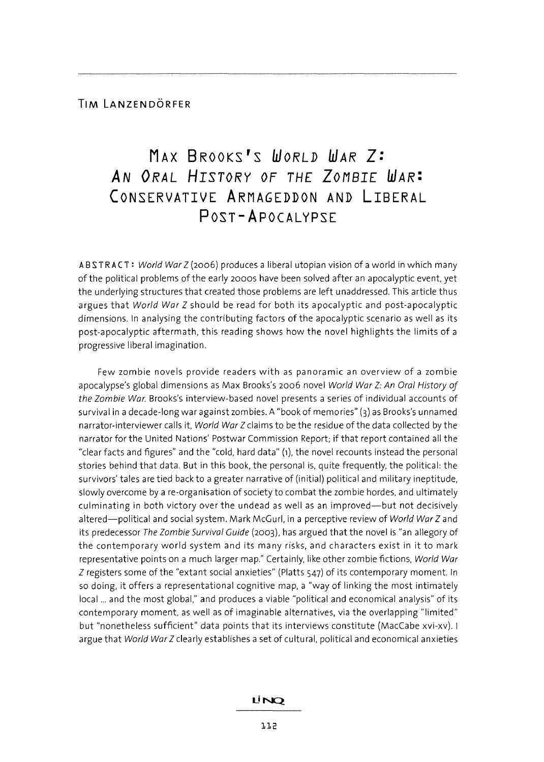## **MAX BROOKS'S WORLD** *WAR* **Z:**  *AN ORAL HISTORY* **OF** *THE* **ZOMBIE** *WAR:*  **CONSERVATIVE ARMAGEDDON AND LIBERAL POST - A POCAL YPSE**

ABSTRACT: World War Z (2006) produces a liberal utopian vision of a world in which many of the political problems of the early 2000S have been solved after an apocalyptic event, yet the underlying structures that created those problems are left unaddressed. This article thus argues that World War Z should be read for both its apocalyptic and post-apocalyptic dimensions. In analysing the contributing factors of the apocalyptic scenario as well as its post-apocalyptic aftermath, this reading shows how the novel highlights the limits of a progressive liberal imagination.

Few zombie novels provide readers with as panoramic an overview of a zombie apocalypse's global dimensions as Max Brooks's 2006 novel World War Z: An Oral History of the Zombie War. Brooks's interview-based novel presents a series of individual accounts of survival in a decade-long war against zombies. A "book of memories" (3) as Brooks's unnamed narrator-interviewer calls it, World War Z claims to be the residue of the data collected by the narrator for the United Nations' Postwar Commission Report; if that report contained all the "clear facts and figures" and the "cold, hard data" (1), the novel recounts instead the personal stories behind that data. But in this book, the personal is, quite frequently, the political: the survivors' tales are tied back to a greater narrative of (initial) political and military ineptitude, slowly overcome by a re-organisation of society to combat the zombie hordes, and ultimately culminating in both victory over the undead as well as an improved-but not decisively altered-political and social system. Mark McGurl, in a perceptive review of World War Z and its predecessor The Zombie Survival Guide (2003), has argued that the novel is "an allegory of the contemporary world system and its many risks, and characters exist in it to mark representative points on a much larger map." Certainly, like other zombie fictions, World War Z registers some of the "extant social anxieties" (Platts 547) of its contemporary moment. In so doing, it offers a representational cognitive map, a "way of linking the most intimately local ... and the most global," and produces a viable "political and economical analysis" of its contemporary moment, as well as of imaginable alternatives, via the overlapping "limited" but "nonetheless sufficient" data points that its interviews constitute (MacCabe xvi-xv). I argue that World War Z clearly establishes a set of cultural, political and economical anxieties

## LİNO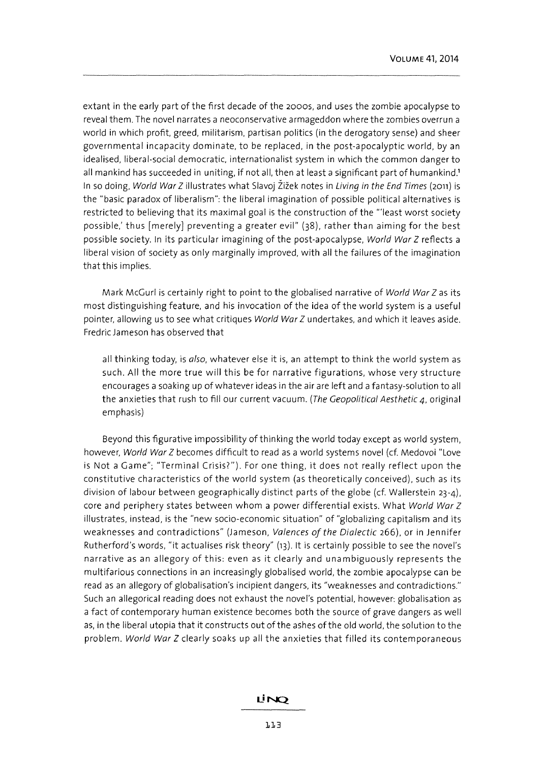extant in the early part of the first decade of the 2000S, and uses the zombie apocalypse to reveal them. The novel narrates a neoconservative armageddon where the zombies overrun a world in which profit, greed, militarism, partisan politics (in the derogatory sense) and sheer governmental incapacity dominate, to be replaced, in the post-apocalyptic world, by an idealised, liberal-social democratic, internationalist system in which the common danger to all mankind has succeeded in uniting, if not all, then at least a significant part of humankind.' In so doing, World War Z illustrates what Slavoj Žižek notes in Living in the End Times (2011) is the "basic paradox of liberalism": the liberal imagination of possible political alternatives is restricted to believing that its maximal goal is the construction of the '''least worst society possible,' thus [merely) preventing a greater evil" (38), rather than aiming for the best possible society. In its particular imagining of the post-apocalypse, World War Z reflects a liberal vision of society as only marginally improved, with all the failures of the imagination that this implies.

Mark McGuri is certainly right to point to the globalised narrative of World War Z as its most distinguishing feature, and his invocation of the idea of the world system is a useful pointer, allowing us to see what critiques World War Z undertakes, and which it leaves aside. Fredric Jameson has observed that

all thinking today, is also, whatever else it is, an attempt to think the world system as such. All the more true will this be for narrative figurations, whose very structure encourages a soaking up of whatever ideas in the air are left and a fantasy-solution to all the anxieties that rush to fill our current vacuum. (The Geopolitical Aesthetic 4, original emphasis)

Beyond this figurative impossibility of thinking the world today except as world system, however, World War Z becomes difficult to read as a world systems novel (cf. Medovoi "Love is Not a Game"; "Terminal Crisis?"). For one thing, it does not really reflect upon the constitutive characteristics of the world system (as theoretically conceived). such as its division of labour between geographically distinct parts of the globe (cf. Wallerstein 23-4), core and periphery states between whom a power differential exists. What World War Z illustrates, instead, is the "new socio-economic situation" of "globalizing capitalism and its weaknesses and contradictions" (Jameson, Valences of the Dialectic 266), or in Jennifer Rutherford's words, "it actualises risk theory" (13). It is certainly possible to see the novel's narrative as an allegory of this: even as it clearly and unambiguously represents the multifarious connections in an increasingly globalised world, the zombie apocalypse can be read as an allegory of globalisation's incipient dangers, its "weaknesses and contradictions." Such an allegorical reading does not exhaust the novel's potential, however: globalisation as a fact of contemporary human existence becomes both the source of grave dangers as well as, in the liberal utopia that it constructs out of the ashes of the old world, the solution to the problem. World War Z clearly soaks up all the anxieties that filled its contemporaneous

## LINO.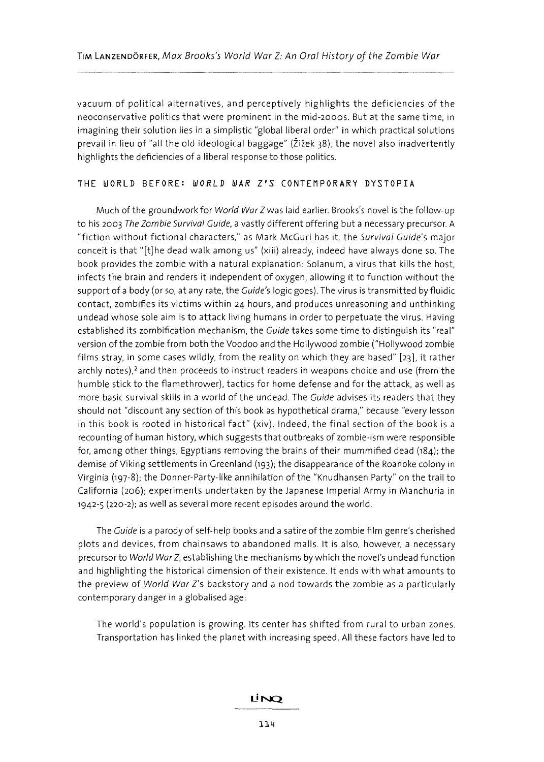vacuum of political alternatives, and perceptively highlights the deficiencies of the neoconservative politics that were prominent in the mid-200os. But at the same time, in imagining their solution lies in a simplistic "global liberal order" in which practical solutions prevail in lieu of "all the old ideological baggage" (Žižek 38), the novel also inadvertently highlights the deficiencies of a liberal response to those politics.

#### THE WORLD BEFORE: *WORLD WAR l'S* CONTEMPORARY DYSTOPIA

Much of the groundwork for World War Zwas laid earlier. Brooks's novel is the follow-up to his 2003 The Zombie Survival Guide, a vastly different offering but a necessary precursor. A "fiction without fictional characters," as Mark McGurl has it, the Survival Guide's major conceit is that "[t]he dead walk among us" (xiii) already, indeed have always done so. The book provides the zombie with a natural explanation: Solanum, a virus that kills the host, infects the brain and renders it independent of oxygen, allowing it to function without the support of a body (or so, at any rate, the Guide's logic goes). The virus is transmitted by fluidic contact, zombifies its victims within 24 hours, and produces unreasoning and unthinking undead whose sole aim is to attack living humans in order to perpetuate the virus. Having established its zombification mechanism, the Guide takes some time to distinguish its "real" version ofthe zombie from both the Voodoo and the Hollywood zombie ("Hollywood zombie films stray, in some cases wildly, from the reality on which they are based" [23], it rather archly notes),<sup>2</sup> and then proceeds to instruct readers in weapons choice and use (from the humble stick to the flamethrower), tactics for home defense and for the attack, as well as more basic survival skills in a world of the undead. The Guide advises its readers that they should not "discount any section of this book as hypothetical drama," because "every lesson in this book is rooted in historical fact" (xiv). Indeed, the final section of the book is a recounting of human history, which suggests that outbreaks of zombie-ism were responsible for, among other things, Egyptians removing the brains of their mummified dead (184); the demise of Viking settlements in Greenland (193); the disappearance of the Roanoke colony in Virginia (197-8); the Donner-Party-like annihilation of the "Knudhansen Party" on the trail to California (206); experiments undertaken by the Japanese Imperial Army in Manchuria in 1942-5 (220-2); as well as several more recent episodes around the world.

The Guide is a parody of self-help books and a satire of the zombie film genre's cherished plots and devices, from chainsaws to abandoned malls. It is also, however, a necessary precursor to World War Z, establishing the mechanisms by which the novel's undead function and highlighting the historical dimension of their existence. It ends with what amounts to the preview of World War Z's backstory and a nod towards the zombie as a particularly contemporary danger in a globalised age:

The world's population is growing. Its center has shifted from rural to urban zones. Transportation has linked the planet with increasing speed. All these factors have led to

### LINO.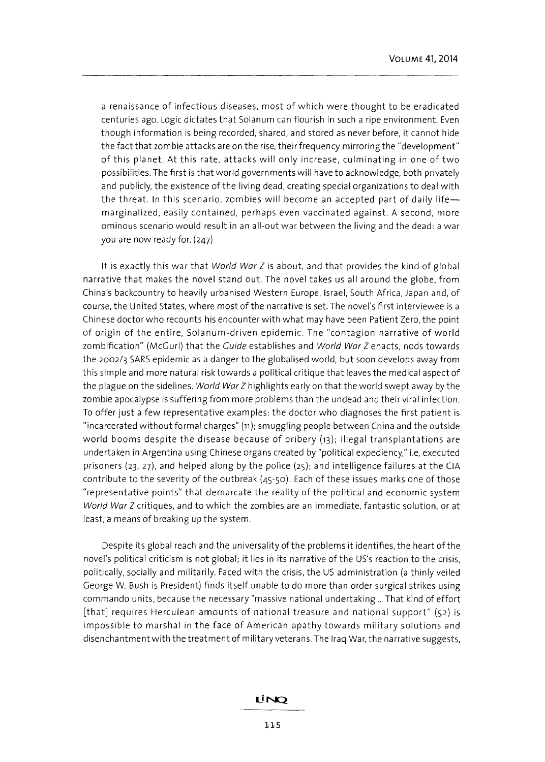a renaissance of infectious diseases, most of which were thought to be eradicated centuries ago. Logic dictates that Solanum can flourish in such a ripe environment. Even though information is being recorded, shared, and stored as never before, it cannot hide the fact that zombie attacks are on the rise, their frequency mirroring the "development" of this planet. At this rate, attacks will only increase, culminating in one of two possibilities. The first is that world governments will have to acknowledge, both privately and publicly, the existence of the living dead, creating special organizations to deal with the threat. In this scenario, zombies will become an accepted part of daily lifemarginalized, easily contained, perhaps even vaccinated against. A second, more ominous scenario would result in an all-out war between the living and the dead: a war you are now ready for. (247)

It is exactly this war that World War Z is about, and that provides the kind of global narrative that makes the novel stand out. The novel takes us all around the globe, from China's backcountry to heavily urbanised Western Europe, Israel, South Africa, Japan and, of course, the United States, where most of the narrative is set. The novel's first interviewee is a Chinese doctor who recounts his encounter with what may have been Patient Zero, the point of origin of the entire, Solanum-driven epidemic. The "contagion narrative of world zombification" (McGurl) that the Guide establishes and World War Z enacts, nods towards the 2002/3 SARS epidemic as a danger to the globalised world, but soon develops away from this simple and more natural risk towards a political critique that leaves the medical aspect of the plague on the sidelines. World War Z highlights early on that the world swept away by the zombie apocalypse is suffering from more problems than the undead and their viral infection. To offer just a few representative examples: the doctor who diagnoses the first patient is "incarcerated without formal charges" (11); smuggling people between China and the outside world booms despite the disease because of bribery (13); illegal transplantations are undertaken in Argentina using Chinese organs created by "political expediency," i.e, executed prisoners (23, 27), and helped along by the police (25); and intelligence failures at the CIA contribute to the severity of the outbreak (45-50). Each of these issues marks one of those "representative points" that demarcate the reality of the political and economic system World War Z critiques, and to which the zombies are an immediate, fantastic solution, or at least, a means of breaking up the system.

Despite its global reach and the universality of the problems it identifies, the heart of the novel's political criticism is not global; it lies in its narrative of the US's reaction to the crisis, politically, socially and militarily. Faced with the crisis, the US administration (a thinly veiled George W. Bush is President) finds itself unable to do more than order surgical strikes using commando units, because the necessary "massive national undertaking ... That kind of effort [that] requires Herculean amounts of national treasure and national support" (52) is impossible to marshal in the face of American apathy towards military solutions and disenchantment with the treatment of military veterans. The Iraq War, the narrative suggests,

## LİNQ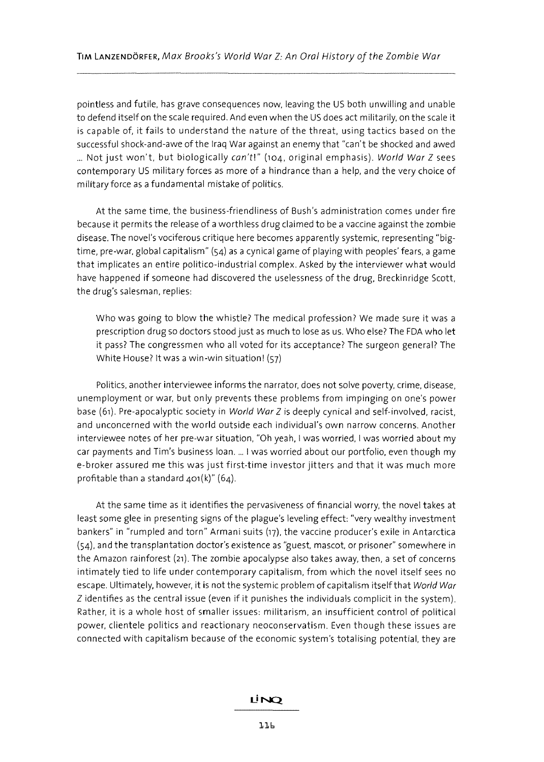pointless and futile, has grave consequences now, leaving the US both unwilling and unable to defend itself on the scale required. And even when the US does act militarily, on the scale **it**  is capable of, **it** fails to understand the nature of the threat, using tactics based on the successful shock-and-awe of the Iraq War against an enemy that "can't be shocked and awed ... Not just won't, but biologically can't!" (104, original emphasis). World War Z sees contemporary US military forces as more of a hindrance than a help, and the very choice of military force as a fundamental mistake of politics.

At the same time, the business-friendliness of Bush's administration comes under fire because it permits the release of a worthless drug claimed to be a vaccine against the zombie disease. The novel's vociferous critique here becomes apparently systemic, representing "bigtime, pre-war, global capitalism" (54) as a cynical game of playing with peoples' fears, a game that implicates an entire politico-industrial complex. Asked by the interviewer what would have happened if someone had discovered the uselessness of the drug, Breckinridge Scott, the drug's salesman, replies:

Who was going to blow the whistle? The medical profession? We made sure it was a prescription drug so doctors stood just as much to lose as us. Who else? The FDA who let it pass? The congressmen who all voted for its acceptance? The surgeon general? The White House? It was a win-win situation! (57)

Politics, another interviewee informs the narrator, does not solve poverty, crime, disease, unemployment or war, but only prevents these problems from impinging on one's power base (61). Pre-apocalyptic society in World War Z is deeply cynical and self-involved, racist, and unconcerned with the world outside each individual's own narrow concerns. Another interviewee notes of her pre-war situation, "Oh yeah, I was worried, I was worried about my car payments and Tim's business loan .... I was worried about our portfolio, even though my e-broker assured me this was just first-time investor jitters and that it was much more profitable than a standard  $401(k)$ " (64).

At the same time as it identifies the pervasiveness of financial worry, the novel takes at least some glee in presenting signs of the plague's leveling effect: "very wealthy investment bankers" in "rumpled and torn" Armani suits (17), the vaccine producer's exile in Antarctica (54), and the transplantation doctor's existence as "guest, mascot, or prisoner" somewhere in the Amazon rainforest (21). The zombie apocalypse also takes away, then, a set of concerns intimately tied to life under contemporary capitalism, from which the novel itself sees no escape. Ultimately, however, it is not the systemic problem of capitalism itself that World War Z identifies as the central issue (even if **it** punishes the individuals complicit in the system). Rather, **it** is a whole host of smaller issues: militarism, an insufficient control of political power, clientele politics and reactionary neoconservatism. Even though these issues are connected with capitalism because of the economic system's totalising potential, they are

## Lİ NO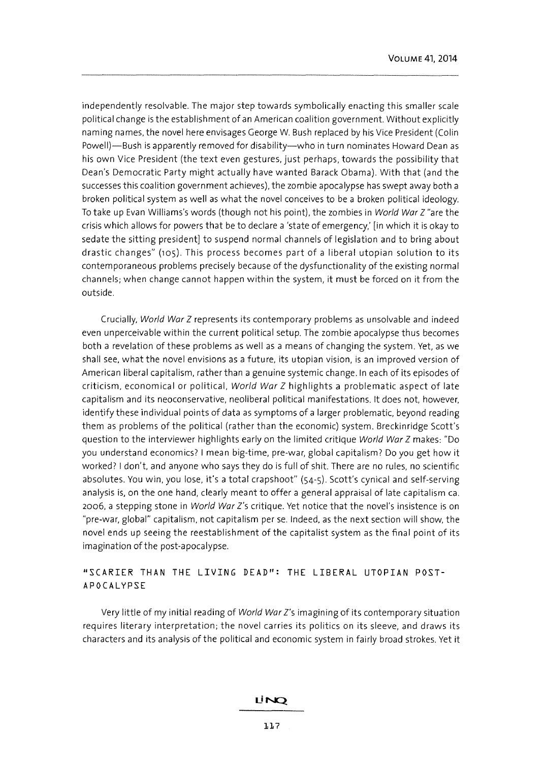independently resolvable. The major step towards symbolically enacting this smaller scale political change is the establishment of an American coalition government. Without explicitly naming names, the novel here envisages George W. Bush replaced by his Vice President (Colin Powell)-Bush is apparently removed for disability-who in turn nominates Howard Dean as his own Vice President (the text even gestures, just perhaps, towards the possibility that Dean's Democratic Party might actually have wanted Barack Obama). With that (and the successes this coalition government achieves), the zombie apocalypse has swept away both a broken political system as well as what the novel conceives to be a broken political ideology. To take up Evan Williams's words (though not his point), the zombies in World War Z "are the crisis which allows for powers that be to declare a 'state of emergency: [in which it is okay to sedate the sitting president) to suspend normal channels of legislation and to bring about drastic changes" (105). This process becomes part of a liberal utopian solution to its contemporaneous problems precisely because of the dysfunctionality of the existing normal channels; when change cannot happen within the system, it must be forced on it from the outside.

Crucially, World War Z represents its contemporary problems as unsolvable and indeed even unperceivable within the current political setup. The zombie apocalypse thus becomes both a revelation of these problems as well as a means of changing the system. Yet, as we shall see, what the novel envisions as a future, its utopian vision, is an improved version of American liberal capitalism, rather than a genuine systemic change. In each of its episodes of criticism, economical or political, World War Z highlights a problematic aspect of late capitalism and its neoconservative, neoliberal political manifestations. It does not, however, identify these individual points of data as symptoms of a larger problematic, beyond reading them as problems of the political (rather than the economic) system. Breckinridge Scott's question to the interviewer highlights early on the limited critique World War Z makes: "Do you understand economics? I mean big-time, pre-war, global capitalism? Do you get how it worked? I don't, and anyone who says they do is full of shit. There are no rules, no scientific absolutes. You win, you lose, it's a total crapshoot" (54-5). Scott's cynical and self-serving analysis is, on the one hand, clearly meant to offer a general appraisal of late capitalism ca. 2006, a stepping stone in World War Z's critique. Yet notice that the novel's insistence is on "pre-war, global" capitalism, not capitalism per se. Indeed, as the next section will show, the novel ends up seeing the reestablishment of the capitalist system as the final point of its imagination of the post-apocalypse.

## «SCARIER THAN THE LIVING **DEAD":** THE LIBERAL UTOPIAN POST-APOCAL YPSE

Very little of my initial reading of World War Z's imagining of its contemporary situation requires literary interpretation; the novel carries its politics on its sleeve, and draws its characters and its analysis of the political and economic system in fairly broad strokes. Yet it

#### LINO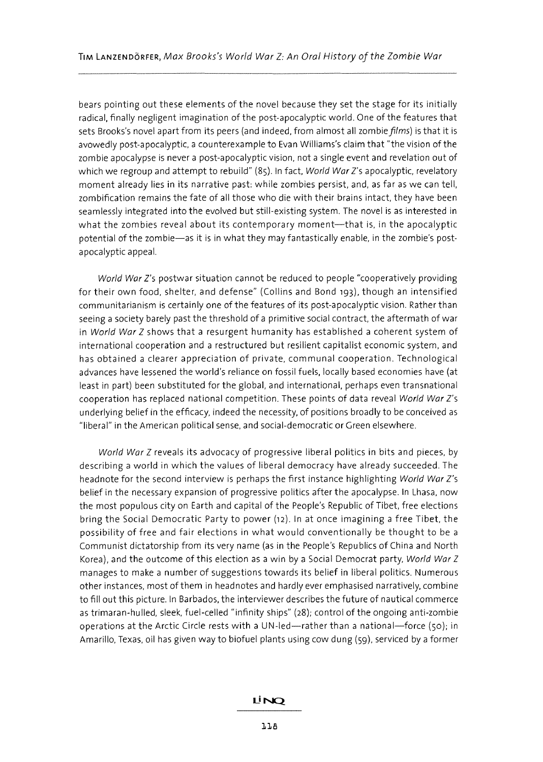bears pointing out these elements of the novel because they set the stage for its initially radical, finally negligent imagination of the post-apocalyptic world. One of the features that sets Brooks's novel apart from its peers (and indeed, from almost all zombie films) is that it is avowedly post-apocalyptic, a counterexample to Evan Williams's claim that "the vision of the zombie apocalypse is never a post-apocalyptic vision, not a single event and revelation out of which we regroup and attempt to rebuild" (85). In fact, World War Z's apocalyptic, revelatory moment already lies in its narrative past: while zombies persist, and, as far as we can tell, zombification remains the fate of all those who die with their brains intact, they have been seamlessly integrated into the evolved but still-existing system. The novel is as interested in what the zombies reveal about its contemporary moment-that is, in the apocalyptic potential of the zombie-as it is in what they may fantastically enable, in the zombie's postapocalyptic appeal.

World War Z's postwar situation cannot be reduced to people "cooperatively providing for their own food, shelter, and defense" (Collins and Bond 193), though an intensified communitarianism is certainly one of the features of its post-apocalyptic vision. Rather than seeing a society barely past the threshold of a primitive social contract, the aftermath of war in World War Z shows that a resurgent humanity has established a coherent system of international cooperation and a restructured but resilient capitalist economic system, and has obtained a clearer appreciation of private, communal cooperation. Technological advances have lessened the world's reliance on fossil fuels, locally based economies have (at least in part) been substituted for the global, and international, perhaps even transnational cooperation has replaced national competition. These points of data reveal World War Z's underlying belief in the efficacy, indeed the necessity, of positions broadly to be conceived as "liberal" in the American political sense, and social-democratic or Green elsewhere.

World War Z reveals its advocacy of progressive liberal politics in bits and pieces, by describing a world in which the values of liberal democracy have already succeeded. The headnote for the second interview is perhaps the first instance highlighting World War Z's belief in the necessary expansion of progressive politics after the apocalypse. In Lhasa, now the most populous city on Earth and capital of the People's Republic of Tibet, free elections bring the Social Democratic Party to power (12). In at once imagining a free Tibet. the possibility of free and fair elections in what would conventionally be thought to be a Communist dictatorship from its very name (as in the People's Republics of China and North Korea), and the outcome of this election as a win by a Social Democrat party, World War Z manages to make a number of suggestions towards its belief in liberal politics. Numerous other instances, most of them in headnotes and hardly ever emphasised narratively, combine to fill out this picture. In Barbados, the interviewer describes the future of nautical commerce as trimaran-hulled, sleek, fuel-celled "infinity ships" (28); control of the ongoing anti-zombie operations at the Arctic Circle rests with a UN-led-rather than a national-force  $(50)$ ; in Amarillo, Texas, oil has given way to biofuel plants using cow dung (59), serviced by a former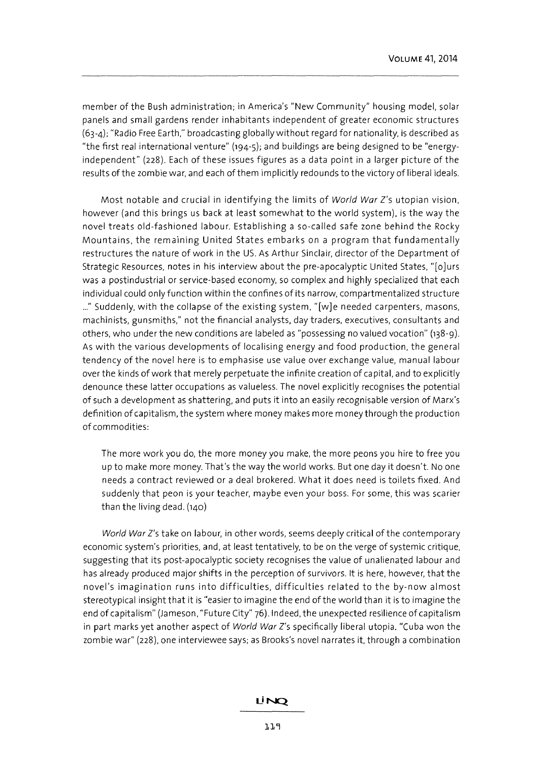member of the Bush administration; in America's "New Community" housing model, solar panels and small gardens render inhabitants independent of greater economic structures (63-4); "Radio Free Earth," broadcasting globally without regard for nationality, is described as "the first real international venture" (194-5); and buildings are being designed to be "energyindependent" (228). Each of these issues figures as a data point in a larger picture of the results of the zombie war, and each of them implicitly redounds to the victory of liberal ideals.

Most notable and crucial in identifying the limits of World War Z's utopian vision, however (and this brings us back at least somewhat to the world system), is the way the novel treats old-fashioned labour. Establishing a so-called safe zone behind the Rocky Mountains, the remaining United States embarks on a program that fundamentally restructures the nature of work in the US. As Arthur Sinclair, director of the Department of Strategic Resources, notes in his interview about the pre-apocalyptic United States, "[olurs was a postindustrial or service-based economy, so complex and highly specialized that each individual could only function within the confines of its narrow, compartmentalized structure ..." Suddenly, with the collapse of the existing system, "[w]e needed carpenters, masons, machinists, gunsmiths," not the financial analysts, day traders, executives, consultants and others, who under the new conditions are labeled as "possessing no valued vocation" (138-9). As with the various developments of localising energy and food production, the general tendency of the novel here is to emphasise use value over exchange value, manual labour over the kinds of work that merely perpetuate the infinite creation of capital, and to explicitly denounce these latter occupations as valueless. The novel explicitly recognises the potential of such a development as shattering, and puts it into an easily recognisable version of Marx's definition of capitalism, the system where money makes more money through the production of commodities:

The more work you do, the more money you make, the more peons you hire to free you up to make more money. That's the way the world works. But one day it doesn't. No one needs a contract reviewed or a deal brokered. What it does need is toilets fixed. And suddenly that peon is your teacher, maybe even your boss. For some, this was scarier than the living dead. (140)

World War Z's take on labour, in other words, seems deeply critical of the contemporary economic system's priorities, and, at least tentatively, to be on the verge of systemic critique, suggesting that its post-apocalyptic society recognises the value of unalienated labour and has already produced major shifts in the perception of survivors. It is here, however, that the novel's imagination runs into difficulties, difficulties related to the by-now almost stereotypical insight that it is "easier to imagine the end of the world than it is to imagine the end of capitalism" (Jameson, "Future City" 76).lndeed, the unexpected resilience of capitalism in part marks yet another aspect of World War Z's specifically liberal utopia. "Cuba won the zombie war" (228), one interviewee says; as Brooks's novel narrates it, through a combination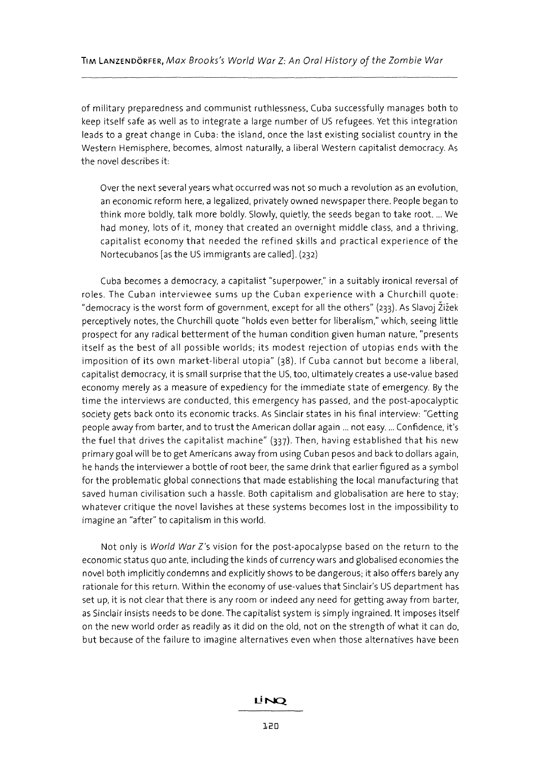of military preparedness and communist ruthlessness, Cuba successfully manages both to keep itself safe as well as to integrate a large number of US refugees. Yet this integration leads to a great change in Cuba: the island, once the last existing socialist country in the Western Hemisphere, becomes, almost naturally, a liberal Western capitalist democracy. As the novel describes it:

Over the next several years what occurred was not so much a revolution as an evolution, an economic reform here, a legalized, privately owned newspaper there. People began to think more boldly, talk more boldly. Slowly, quietly, the seeds began to take root .... We had money, lots of it, money that created an overnight middle class, and a thriving, capitalist economy that needed the refined skills and practical experience of the Nortecubanos [as the US immigrants are called]. (232)

Cuba becomes a democracy, a capitalist "superpower," in a suitably ironical reversal of roles. The Cuban interviewee sums up the Cuban experience with a Churchill quote: "democracy is the worst form of government, except for all the others" (233). As Slavoj Žižek perceptively notes, the Churchill quote "holds even better for liberalism," which, seeing little prospect for any radical betterment of the human condition given human nature, "presents itself as the best of all possible worlds; its modest rejection of utopias ends with the imposition of its own market-liberal utopia" (38). If Cuba cannot but become a liberal, capitalist democracy, it is small surprise that the US, too, ultimately creates a use-value based economy merely as a measure of expediency for the immediate state of emergency. By the time the interviews are conducted, this emergency has passed, and the post-apocalyptic society gets back onto its economic tracks. As Sinclair states in his final interview: "Getting people away from barter, and to trust the American dollar again ... not easy. ... Confidence, it's the fuel that drives the capitalist machine" (337). Then, having established that his new primary goal will be to get Americans away from using Cuban pesos and back to dollars again, he hands the interviewer a bottle of root beer, the same drink that earlier figured as a symbol for the problematic global connections that made establishing the local manufacturing that saved human civilisation such a hassle. Both capitalism and globalisation are here to stay; whatever critique the novel lavishes at these systems becomes lost in the impossibility to imagine an "after" to capitalism in this world.

Not only is World War Z's vision for the post-apocalypse based on the return to the economic status quo ante, including the kinds of currency wars and globalised economies the novel both implicitly condemns and explicitly shows to be dangerous; it also offers barely any rationale for this return. Within the economy of use-values that Sinclair's US department has set up, it is not clear that there is any room or indeed any need for getting away from barter, as Sinclair insists needs to be done. The capitalist system is simply ingrained. It imposes itself on the new world order as readily as it did on the old, not on the strength of what it can do, but because of the failure to imagine alternatives even when those alternatives have been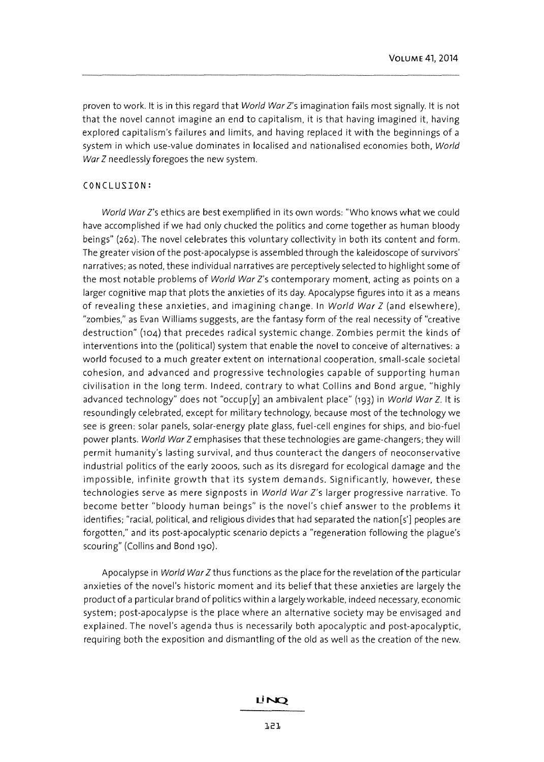proven to work. It is in this regard that World War Z's imagination fails most signally. It is not that the novel cannot imagine an end to capitalism, it is that having imagined it, having explored capitalism's failures and limits, and having replaced it with the beginnings of a system in which use-value dominates in localised and nationalised economies both, World War Z needlessly foregoes the new system.

## CONCLUSION:

World War Z's ethics are best exemplified in its own words: "Who knows what we could have accomplished if we had only chucked the politics and come together as human bloody beings" (262). The novel celebrates this voluntary collectivity in both its content and form. The greater vision of the post-apocalypse is assembled through the kaleidoscope of survivors' narratives; as noted, these individual narratives are perceptively selected to highlight some of the most notable problems of World War Z's contemporary moment, acting as points on a larger cognitive map that plots the anxieties of its day. Apocalypse figures into it as a means of revealing these anxieties, and imagining change. In World War Z (and elsewhere), "zombies," as Evan Williams suggests, are the fantasy form of the real necessity of "creative destruction" (104) that precedes radical systemic change. Zombies permit the kinds of interventions into the (political) system that enable the novel to conceive of alternatives: a world focused to a much greater extent on international cooperation, small-scale societal cohesion, and advanced and progressive technologies capable of supporting human civilisation in the long term. Indeed, contrary to what Collins and Bond argue, "highly advanced technology" does not "occup[y] an ambivalent place" (193) in World War *l.* It is resoundingly celebrated, except for military technology, because most of the technology we see is green: solar panels, solar-energy plate glass, fuel-cell engines for ships, and bio-fuel power plants. World War Z emphasises that these technologies are game-changers; they will permit humanity's lasting survival, and thus counteract the dangers of neoconservative industrial politics of the early 2000S, such as its disregard for ecological damage and the impossible, infinite growth that its system demands. Significantly, however, these technologies serve as mere signposts in World War Z's larger progressive narrative. To become better "bloody human beings" is the novel's chief answer to the problems it identifies; "racial, political, and religious divides that had separated the nation[s'] peoples are forgotten," and its post-apocalyptic scenario depicts a "regeneration following the plague's scouring" (Collins and Bond 190).

Apocalypse in World War Z thus functions as the place for the revelation of the particular anxieties of the novel's historic moment and its belief that these anxieties are largely the product of a particular brand of politics within a largely workable, indeed necessary, economic system; post-apocalypse is the place where an alternative society may be envisaged and explained. The novel's agenda thus is necessarily both apocalyptic and post-apocalyptic, requiring both the exposition and dismantling of the old as well as the creation of the new.

## LINO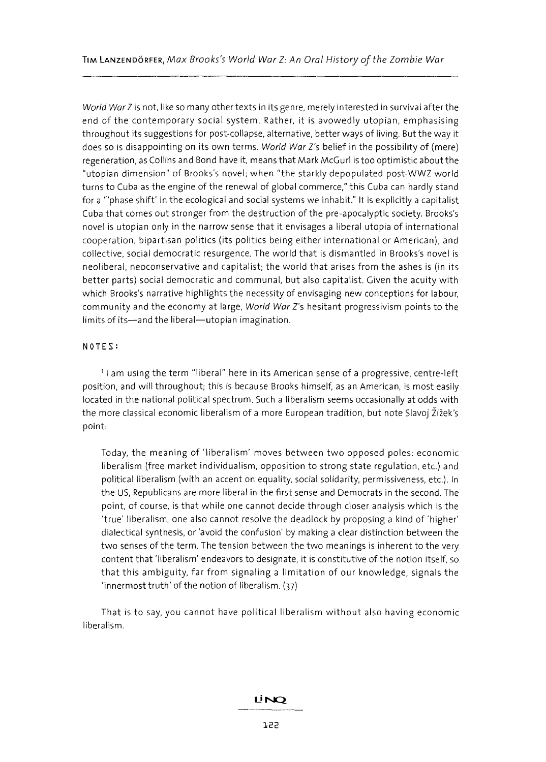World War Z is not, like so many other texts in its genre, merely interested in survival after the end of the contemporary social system. Rather, it is avowedly utopian, emphasising throughout its suggestions for post-collapse, alternative, better ways of living. But the way it does so is disappointing on its own terms. World War Z's belief in the possibility of (mere) regeneration, as Collins and Bond have it, means that Mark McGurl is too optimistic about the "utopian dimension" of Brooks's novel; when "the starkly depopulated post-WWZ world turns to Cuba as the engine of the renewal of global commerce," this Cuba can hardly stand for a '''phase shift' in the ecological and social systems we inhabit." It is explicitly a capitalist Cuba that comes out stronger from the destruction of the pre-apocalyptic society. Brooks's novel is utopian only in the narrow sense that it envisages a liberal utopia of international cooperation, bipartisan politics (its politics being either international or American), and collective, social democratic resurgence. The world that is dismantled in Brooks's novel is neoliberal, neoconservative and capitalist; the world that arises from the ashes is (in its better parts) social democratic and communal, but also capitalist. Given the acuity with which Brooks's narrative highlights the necessity of envisaging new conceptions for labour, community and the economy at large, World War Z's hesitant progressivism points to the limits of its-and the liberal-utopian imagination.

#### **NOTES:**

<sup>1</sup>I am using the term "liberal" here in its American sense of a progressive, centre-left position, and will throughout; this is because Brooks himself, as an American, is most easily located in the national political spectrum. Such a liberalism seems occasionally at odds with the more classical economic liberalism of a more European tradition, but note Slavoj Zizek's point:

Today, the meaning of 'liberalism' moves between two opposed poles: economic liberalism (free market individualism, opposition to strong state regulation, etc.) and political liberalism (with an accent on equality, social solidarity, permissiveness, etc.). In the US, Republicans are more liberal in the first sense and Democrats in the second. The point, of course, is that while one cannot decide through closer analysis which is the 'true' liberalism, one also cannot resolve the deadlock by proposing a kind of 'higher' dialectical synthesis, or 'avoid the confusion' by making a clear distinction between the two senses of the term. The tension between the two meanings is inherent to the very content that 'liberalism' endeavors to designate, it is constitutive of the notion itself, so that this ambiguity, far from signaling a limitation of our knowledge, signals the 'innermost truth' of the notion of liberalism. (37)

That is to say, you cannot have political liberalism without also having economic liberalism.